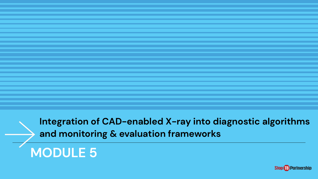**Integration of CAD-enabled X-ray into diagnostic algorithms and monitoring & evaluation frameworks**

# **MODULE 5**

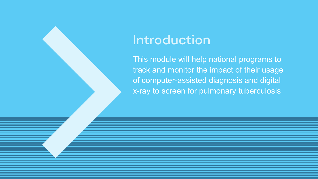### Introduction

This module will help national programs to track and monitor the impact of their usage of computer-assisted diagnosis and digital x-ray to screen for pulmonary tuberculosis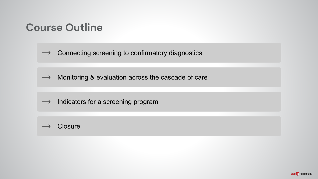#### **Course Outline**

Connecting screening to confirmatory diagnostics  $\rightarrow$ 

 $\rightarrow$  Monitoring & evaluation across the cascade of care

 $\rightarrow$  Indicators for a screening program



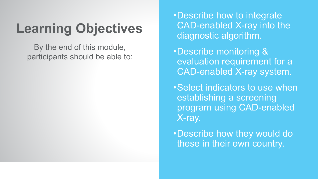# **Learning Objectives**

By the end of this module, participants should be able to:

- •Describe how to integrate CAD-enabled X-ray into the diagnostic algorithm.
- •Describe monitoring & evaluation requirement for a CAD-enabled X-ray system.
- •Select indicators to use when establishing a screening program using CAD-enabled X-ray.
- •Describe how they would do these in their own country.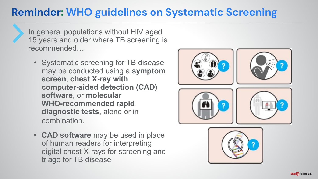#### **Reminder: WHO guidelines on Systematic Screening**

In general populations without HIV aged 15 years and older where TB screening is recommended…

- Systematic screening for TB disease may be conducted using a **symptom screen**, **chest X-ray with computer-aided detection (CAD) software**, or **molecular WHO-recommended rapid diagnostic tests**, alone or in combination.
- **• CAD software** may be used in place of human readers for interpreting digital chest X-rays for screening and triage for TB disease

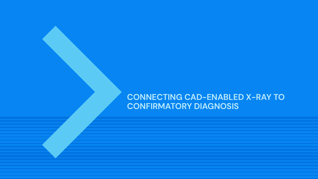#### **CONNECTING CAD-ENABLED X-RAY TO CONFIRMATORY DIAGNOSIS**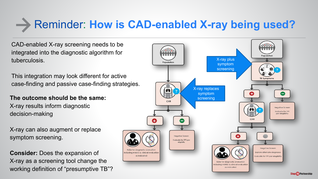# Reminder: **How is CAD-enabled X-ray being used?**

CAD-enabled X-ray screening needs to be integrated into the diagnostic algorithm for tuberculosis.

This integration may look different for active case-finding and passive case-finding strategies.

**The outcome should be the same:**  X-ray results inform diagnostic decision-making

X-ray can also augment or replace symptom screening.

**Consider:** Does the expansion of X-ray as a screening tool change the working definition of "presumptive TB"?

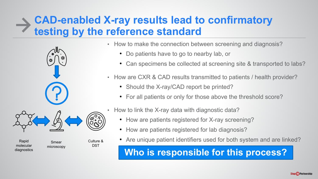#### **CAD-enabled X-ray results lead to confirmatory testing by the reference standard**



Smear microscopy

molecular diagnostics

Culture &

DST

- How to make the connection between screening and diagnosis?
	- Do patients have to go to nearby lab, or
	- Can specimens be collected at screening site & transported to labs?
- How are CXR & CAD results transmitted to patients / health provider?
	- Should the X-ray/CAD report be printed?
	- For all patients or only for those above the threshold score?
- How to link the X-ray data with diagnostic data?
	- How are patients registered for X-ray screening?
	- How are patients registered for lab diagnosis?
- Rapid **Exapid Exapid Exapid Exaple 1** Culture & **Culture 8 Culture 8 Are unique patient identifiers used for both system and are linked?**

**Who is responsible for this process?**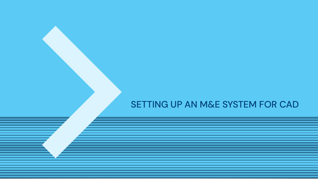#### SETTING UP AN M&E SYSTEM FOR CAD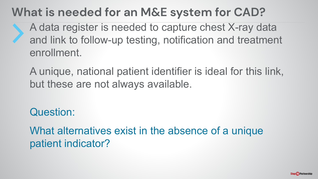### **What is needed for an M&E system for CAD?**

A data register is needed to capture chest X-ray data and link to follow-up testing, notification and treatment enrollment.

A unique, national patient identifier is ideal for this link, but these are not always available.

Question:

What alternatives exist in the absence of a unique patient indicator?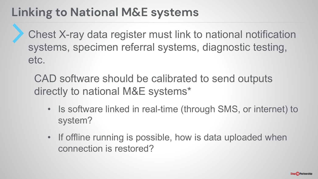### **Linking to National M&E systems**

Chest X-ray data register must link to national notification systems, specimen referral systems, diagnostic testing, etc.

CAD software should be calibrated to send outputs directly to national M&E systems\*

- Is software linked in real-time (through SMS, or internet) to system?
- If offline running is possible, how is data uploaded when connection is restored?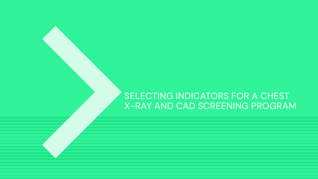#### SELECTING INDICATORS FOR A CHEST X-RAY AND CAD SCREENING PROGRAM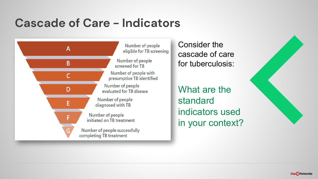### **Cascade of Care - Indicators**



Consider the cascade of care for tuberculosis:

What are the standard indicators used in your context?



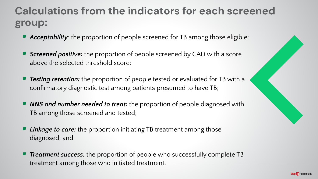#### **Calculations from the indicators for each screened group:**

- *Acceptability:* the proportion of people screened for TB among those eligible;
- *Screened positive:* the proportion of people screened by CAD with a score above the selected threshold score;
- ▪ *Testing retention:* the proportion of people tested or evaluated for TB with a confirmatory diagnostic test among patients presumed to have TB;
- *NNS and number needed to treat:* the proportion of people diagnosed with TB among those screened and tested;
- ▪ *Linkage to care:* the proportion initiating TB treatment among those diagnosed; and
- ▪ *Treatment success:* the proportion of people who successfully complete TB treatment among those who initiated treatment.

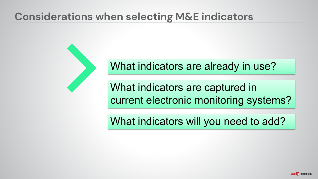#### **Considerations when selecting M&E indicators**



What indicators are already in use?

What indicators are captured in current electronic monitoring systems?

What indicators will you need to add?

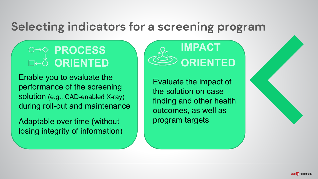#### **Selecting indicators for a screening program**

### **PROCESS ORIENTED**

Enable you to evaluate the performance of the screening solution (e.g., CAD-enabled X-ray) during roll-out and maintenance

Adaptable over time (without losing integrity of information)



Evaluate the impact of the solution on case finding and other health outcomes, as well as program targets

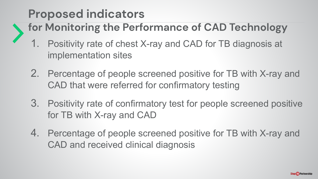## **Proposed indicators**

- **for Monitoring the Performance of CAD Technology**
	- 1. Positivity rate of chest X-ray and CAD for TB diagnosis at implementation sites
	- 2. Percentage of people screened positive for TB with X-ray and CAD that were referred for confirmatory testing
	- 3. Positivity rate of confirmatory test for people screened positive for TB with X-ray and CAD
	- 4. Percentage of people screened positive for TB with X-ray and CAD and received clinical diagnosis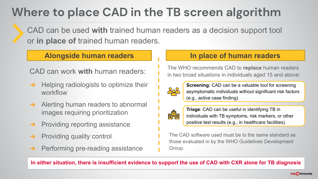# **Where to place CAD in the TB screen algorithm**

CAD can be used **with** trained human readers as a decision support tool or **in place of** trained human readers.

- $\rightarrow$  Helping radiologists to optimize their workflow
- **→** Alerting human readers to abnormal images requiring prioritization
- **→** Providing reporting assistance
- ➔ Providing quality control
- ➔ Performing pre-reading assistance

#### **Alongside human readers In place of human readers**

The WHO recommends CAD to **replace** human readers in two broad situations in individuals aged 15 and above: CAD can work **with** human readers:



**Screening:** CAD can be a valuable tool for screening asymptomatic individuals without significant risk factors (e.g., active case finding).



**Triage**: CAD can be useful in identifying TB in individuals with TB symptoms, risk markers, or other positive test results (e.g., in healthcare facilities).

The CAD software used must be to the same standard as those evaluated in by the WHO Guidelines Development Group.

#### **In either situation, there is insufficient evidence to support the use of CAD with CXR alone for TB diagnosis**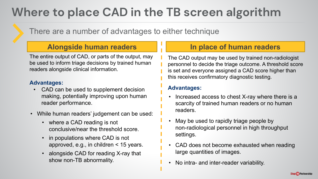## **Where to place CAD in the TB screen algorithm**

There are a number of advantages to either technique

#### **Alongside human readers In place of human readers**

The entire output of CAD, or parts of the output, may be used to inform triage decisions by trained human readers alongside clinical information.

#### **Advantages:**

- CAD can be used to supplement decision making, potentially improving upon human reader performance.
- While human readers' judgement can be used:
	- where a CAD reading is not conclusive/near the threshold score.
	- in populations where CAD is not approved, e.g., in children < 15 years.
	- alongside CAD for reading X-ray that show non-TB abnormality.

The CAD output may be used by trained non-radiologist personnel to decide the triage outcome. A threshold score is set and everyone assigned a CAD score higher than this receives confirmatory diagnostic testing.

#### **Advantages:**

- Increased access to chest X-ray where there is a scarcity of trained human readers or no human readers.
- May be used to rapidly triage people by non-radiological personnel in high throughput settings.
- CAD does not become exhausted when reading large quantities of images.
- No intra- and inter-reader variability.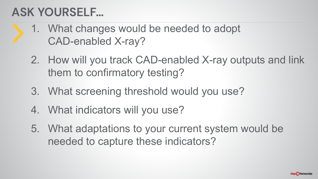### **ASK YOURSELF…**

- 1. What changes would be needed to adopt CAD-enabled X-ray?
	- 2. How will you track CAD-enabled X-ray outputs and link them to confirmatory testing?
	- 3. What screening threshold would you use?
	- 4. What indicators will you use?
	- 5. What adaptations to your current system would be needed to capture these indicators?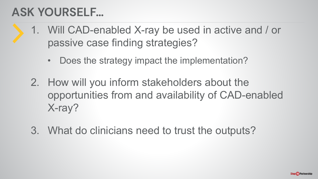### **ASK YOURSELF…**

- 1. Will CAD-enabled X-ray be used in active and / or passive case finding strategies?
	- Does the strategy impact the implementation?
	- 2. How will you inform stakeholders about the opportunities from and availability of CAD-enabled X-ray?
	- 3. What do clinicians need to trust the outputs?